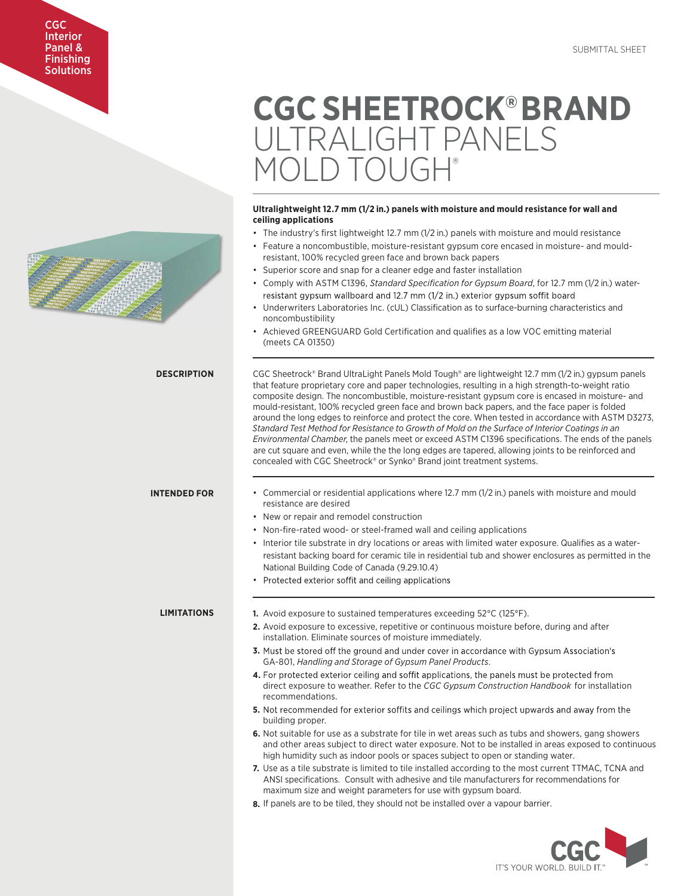### CGC Interior Panel & Finishing **Solutions**

# **CGC SHEETROCK®BRAND**  ULTRALIGHT PANELS OLD TOLIGH

#### **Ultralightweight 12.7 mm (1/2 in.) panels with moisture and mould resistance for wall and ceiling applications**

- The industry's first lightweight 12.7 mm (1/2 in.) panels with moisture and mould resistance
- Feature a noncombustible, moisture-resistant gypsum core encased in moisture- and mouldresistant, 100% recycled green face and brown back papers
- Superior score and snap for a cleaner edge and faster installation
- Comply with ASTM C1396, *Standard Specification for Gypsum Board*, for 12.7 mm (1/2 in.) water resistant gypsum wallboard and 12.7 mm (1/2 in.) exterior gypsum soffit board
- Underwriters Laboratories Inc. (cUL) Classification as to surface-burning characteristics and noncombustibility
- Achieved GREENGUARD Gold Certification and qualifies as a low VOC emitting material (meets CA 01350)

CGC Sheetrock® Brand UltraLight Panels Mold Tough® are lightweight 12.7 mm (1/2 in.) gypsum panels that feature proprietary core and paper technologies, resulting in a high strength-to-weight ratio composite design. The noncombustible, moisture-resistant gypsum core is encased in moisture- and mould-resistant, 100% recycled green face and brown back papers, and the face paper is folded around the long edges to reinforce and protect the core. When tested in accordance with ASTM D3273, *Standard Test Method for Resistance to Growth of Mold on the Surface of Interior Coatings in an Environmental Chamber*, the panels meet or exceed ASTM C1396 specifications. The ends of the panels are cut square and even, while the the long edges are tapered, allowing joints to be reinforced and concealed with CGC Sheetrock® or Synko® Brand joint treatment systems.

#### **INTENDED FOR**

**LIMITATIONS**

**DESCRIPTION**

- Commercial or residential applications where 12.7 mm (1/2 in.) panels with moisture and mould resistance are desired
- New or repair and remodel construction
- Non-fire-rated wood- or steel-framed wall and ceiling applications
- Interior tile substrate in dry locations or areas with limited water exposure. Qualifies as a water resistant backing board for ceramic tile in residential tub and shower enclosures as permitted in the National Building Code of Canada (9.29.10.4)
- Protected exterior soffit and ceiling applications

**1.** Avoid exposure to sustained temperatures exceeding 52°C (125°F).

- **2.** Avoid exposure to excessive, repetitive or continuous moisture before, during and after installation. Eliminate sources of moisture immediately.
- **3.** Must be stored off the ground and under cover in accordance with Gypsum Association's GA-801, *Handling and Storage of Gypsum Panel Products*.
- 4. For protected exterior ceiling and soffit applications, the panels must be protected from direct exposure to weather. Refer to the *CGC Gypsum Construction Handbook* for installation recommendations.
- 5. Not recommended for exterior soffits and ceilings which project upwards and away from the building proper.
- **6.** Not suitable for use as a substrate for tile in wet areas such as tubs and showers, gang showers and other areas subject to direct water exposure. Not to be installed in areas exposed to continuous high humidity such as indoor pools or spaces subject to open or standing water.
- **7.** Use as a tile substrate is limited to tile installed according to the most current TTMAC, TCNA and ANSI specifications. Consult with adhesive and tile manufacturers for recommendations for maximum size and weight parameters for use with gypsum board.
- **8.** If panels are to be tiled, they should not be installed over a vapour barrier.

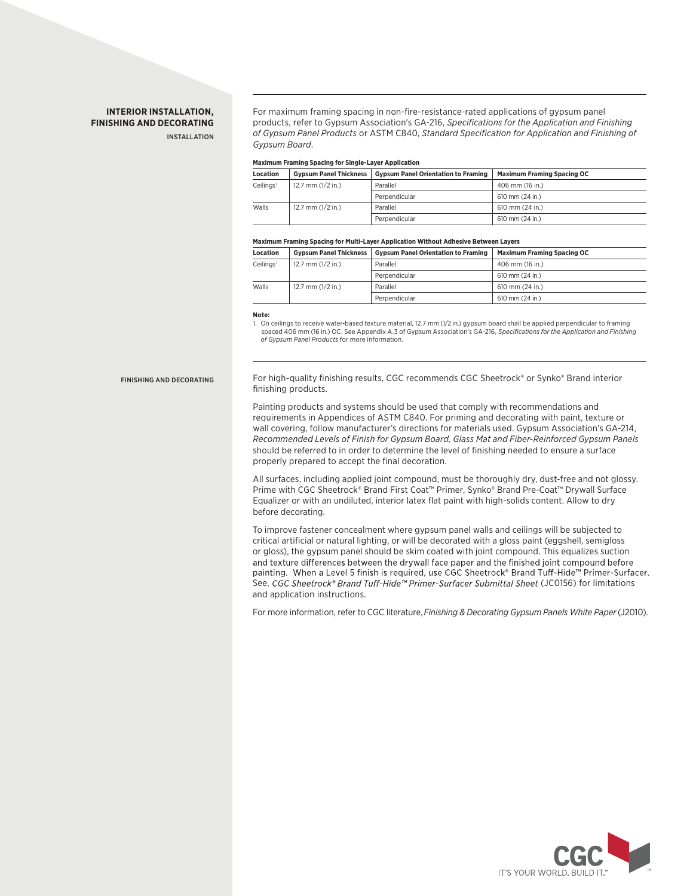#### **INTERIOR INSTALLATION, FINISHING AND DECORATING** INSTALLATION

For maximum framing spacing in non-fire-resistance-rated applications of gypsum panel products, refer to Gypsum Association's GA-216, *Specifications for the Application and Finishing of Gypsum Panel Products* or ASTM C840, *Standard Specification for Application and Finishing of Gypsum Board*.

#### **Maximum Framing Spacing for Single-Layer Application**

| <b>Location</b>       | <b>Gypsum Panel Thickness</b> | <b>Gypsum Panel Orientation to Framing</b> | <b>Maximum Framing Spacing OC</b> |
|-----------------------|-------------------------------|--------------------------------------------|-----------------------------------|
| Ceilings <sup>1</sup> | 12.7 mm $(1/2$ in.)           | Parallel                                   | 406 mm (16 in.)                   |
|                       |                               | Perpendicular                              | 610 mm (24 in.)                   |
| Walls                 | 12.7 mm $(1/2$ in.)           | Parallel                                   | 610 mm (24 in.)                   |
|                       |                               | Perpendicular                              | 610 mm (24 in.)                   |

#### **Maximum Framing Spacing for Multi-Layer Application Without Adhesive Between Layers**

| <b>Location</b>       | <b>Gypsum Panel Thickness</b> | <b>Gypsum Panel Orientation to Framing</b> | <b>Maximum Framing Spacing OC</b> |
|-----------------------|-------------------------------|--------------------------------------------|-----------------------------------|
| Ceilings <sup>1</sup> | 12.7 mm $(1/2$ in.)           | Parallel                                   | 406 mm (16 in.)                   |
|                       |                               | Perpendicular                              | 610 mm (24 in.)                   |
| Walls                 | 12.7 mm $(1/2$ in.)           | Parallel                                   | 610 mm (24 in.)                   |
|                       |                               | Perpendicular                              | 610 mm (24 in.)                   |

#### **Note:**

1. On ceilings to receive water-based texture material, 12.7 mm (1/2 in.) gypsum board shall be applied perpendicular to framing spaced 406 mm (16 in.) OC. See Appendix A.3 of Gypsum Association's GA-216, *Specifications for the Application and Finishing of Gypsum Panel Products* for more information.

#### FINISHING AND DECORATING

For high-quality finishing results, CGC recommends CGC Sheetrock® or Synko® Brand interior finishing products.

Painting products and systems should be used that comply with recommendations and requirements in Appendices of ASTM C840. For priming and decorating with paint, texture or wall covering, follow manufacturer's directions for materials used. Gypsum Association's GA-214, *Recommended Levels of Finish for Gypsum Board, Glass Mat and Fiber-Reinforced Gypsum Panels*  should be referred to in order to determine the level of finishing needed to ensure a surface properly prepared to accept the final decoration.

All surfaces, including applied joint compound, must be thoroughly dry, dust-free and not glossy. Prime with CGC Sheetrock® Brand First Coat™ Primer, Synko® Brand Pre-Coat™ Drywall Surface Equalizer or with an undiluted, interior latex flat paint with high-solids content. Allow to dry before decorating.

To improve fastener concealment where gypsum panel walls and ceilings will be subjected to critical artificial or natural lighting, or will be decorated with a gloss paint (eggshell, semigloss or gloss), the gypsum panel should be skim coated with joint compound. This equalizes suction and texture differences between the drywall face paper and the finished joint compound before painting. When a Level 5 finish is required, use CGC Sheetrock® Brand Tuff-Hide™ Primer-Surfacer. See, CGC Sheetrock® Brand Tuff-Hide™ Primer-Surfacer Submittal Sheet (JC0156) for limitations and application instructions.

For more information, refer to CGC literature,*Finishing & Decorating Gypsum Panels White Paper*(J2010).